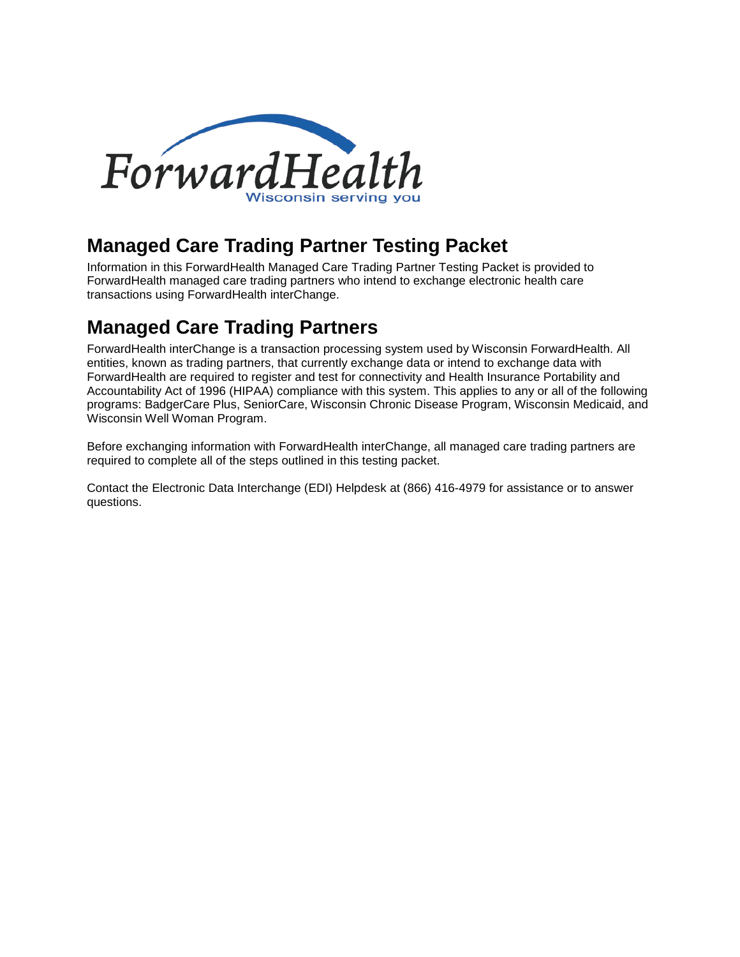

## **Managed Care Trading Partner Testing Packet**

Information in this ForwardHealth Managed Care Trading Partner Testing Packet is provided to ForwardHealth managed care trading partners who intend to exchange electronic health care transactions using ForwardHealth interChange.

# **Managed Care Trading Partners**

ForwardHealth interChange is a transaction processing system used by Wisconsin ForwardHealth. All entities, known as trading partners, that currently exchange data or intend to exchange data with ForwardHealth are required to register and test for connectivity and Health Insurance Portability and Accountability Act of 1996 (HIPAA) compliance with this system. This applies to any or all of the following programs: BadgerCare Plus, SeniorCare, Wisconsin Chronic Disease Program, Wisconsin Medicaid, and Wisconsin Well Woman Program.

Before exchanging information with ForwardHealth interChange, all managed care trading partners are required to complete all of the steps outlined in this testing packet.

Contact the Electronic Data Interchange (EDI) Helpdesk at (866) 416-4979 for assistance or to answer questions.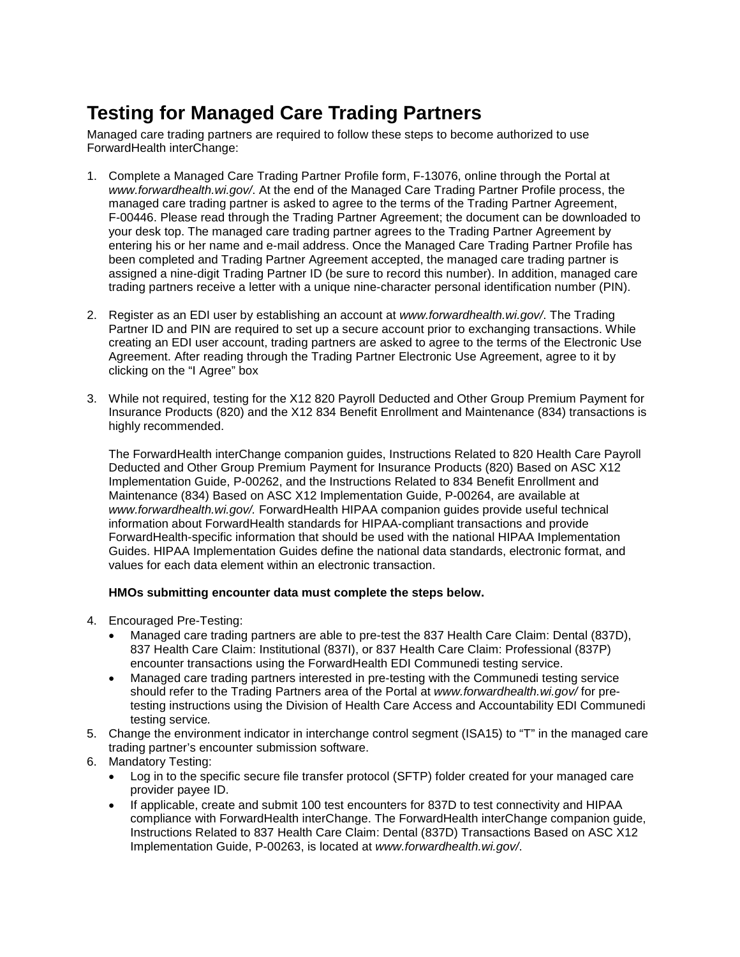# **Testing for Managed Care Trading Partners**

Managed care trading partners are required to follow these steps to become authorized to use ForwardHealth interChange:

- 1. Complete a Managed Care Trading Partner Profile form, F-13076, online through the Portal at *www.forwardhealth.wi.gov/*. At the end of the Managed Care Trading Partner Profile process, the managed care trading partner is asked to agree to the terms of the Trading Partner Agreement, F-00446. Please read through the Trading Partner Agreement; the document can be downloaded to your desk top. The managed care trading partner agrees to the Trading Partner Agreement by entering his or her name and e-mail address. Once the Managed Care Trading Partner Profile has been completed and Trading Partner Agreement accepted, the managed care trading partner is assigned a nine-digit Trading Partner ID (be sure to record this number). In addition, managed care trading partners receive a letter with a unique nine-character personal identification number (PIN).
- 2. Register as an EDI user by establishing an account at *www.forwardhealth.wi.gov/*. The Trading Partner ID and PIN are required to set up a secure account prior to exchanging transactions. While creating an EDI user account, trading partners are asked to agree to the terms of the Electronic Use Agreement. After reading through the Trading Partner Electronic Use Agreement, agree to it by clicking on the "I Agree" box
- 3. While not required, testing for the X12 820 Payroll Deducted and Other Group Premium Payment for Insurance Products (820) and the X12 834 Benefit Enrollment and Maintenance (834) transactions is highly recommended.

The ForwardHealth interChange companion guides, Instructions Related to 820 Health Care Payroll Deducted and Other Group Premium Payment for Insurance Products (820) Based on ASC X12 Implementation Guide, P-00262, and the Instructions Related to 834 Benefit Enrollment and Maintenance (834) Based on ASC X12 Implementation Guide, P-00264, are available at *www.forwardhealth.wi.gov/.* ForwardHealth HIPAA companion guides provide useful technical information about ForwardHealth standards for HIPAA-compliant transactions and provide ForwardHealth-specific information that should be used with the national HIPAA Implementation Guides. HIPAA Implementation Guides define the national data standards, electronic format, and values for each data element within an electronic transaction.

#### **HMOs submitting encounter data must complete the steps below.**

- 4. Encouraged Pre-Testing:
	- Managed care trading partners are able to pre-test the 837 Health Care Claim: Dental (837D), 837 Health Care Claim: Institutional (837I), or 837 Health Care Claim: Professional (837P) encounter transactions using the ForwardHealth EDI Communedi testing service.
	- Managed care trading partners interested in pre-testing with the Communedi testing service should refer to the Trading Partners area of the Portal at *www.forwardhealth.wi.gov/* for pretesting instructions using the Division of Health Care Access and Accountability EDI Communedi testing service*.*
- 5. Change the environment indicator in interchange control segment (ISA15) to "T" in the managed care trading partner's encounter submission software.
- 6. Mandatory Testing:
	- Log in to the specific secure file transfer protocol (SFTP) folder created for your managed care provider payee ID.
	- If applicable, create and submit 100 test encounters for 837D to test connectivity and HIPAA compliance with ForwardHealth interChange. The ForwardHealth interChange companion guide, Instructions Related to 837 Health Care Claim: Dental (837D) Transactions Based on ASC X12 Implementation Guide, P-00263, is located at *www.forwardhealth.wi.gov/*.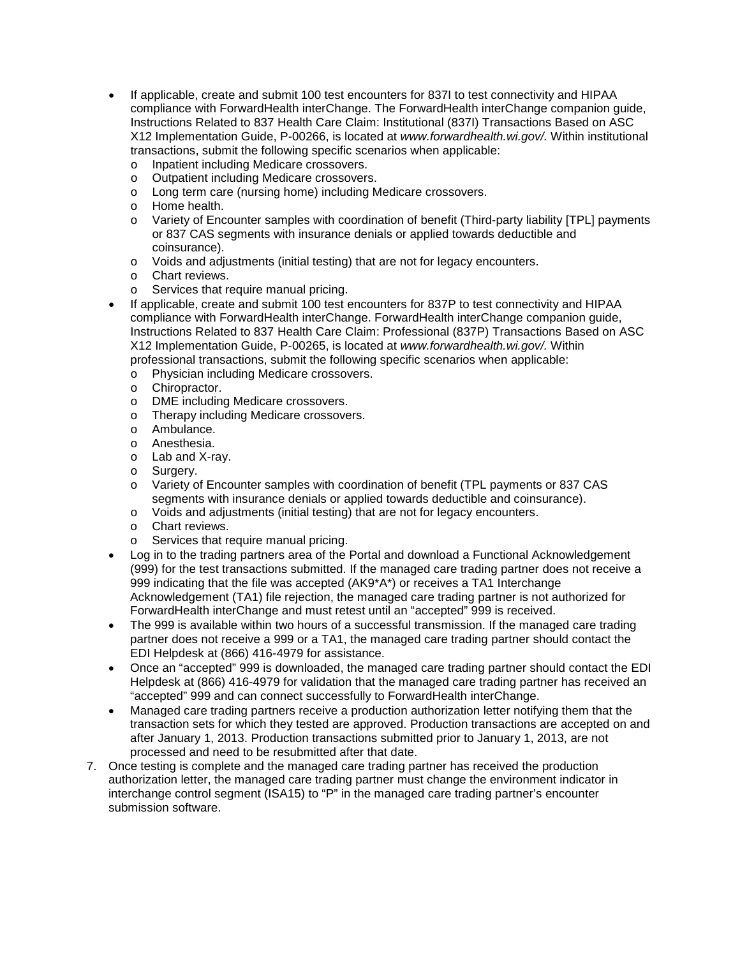- If applicable, create and submit 100 test encounters for 837I to test connectivity and HIPAA compliance with ForwardHealth interChange. The ForwardHealth interChange companion guide, Instructions Related to 837 Health Care Claim: Institutional (837I) Transactions Based on ASC X12 Implementation Guide, P-00266, is located at *www.forwardhealth.wi.gov/.* Within institutional transactions, submit the following specific scenarios when applicable:
	- o Inpatient including Medicare crossovers.<br>
	o Outpatient including Medicare crossovers
	- Outpatient including Medicare crossovers.
	- o Long term care (nursing home) including Medicare crossovers.
	- o Home health.
	- o Variety of Encounter samples with coordination of benefit (Third-party liability [TPL] payments or 837 CAS segments with insurance denials or applied towards deductible and coinsurance).
	- o Voids and adjustments (initial testing) that are not for legacy encounters.
	- o Chart reviews.
	- o Services that require manual pricing.
- If applicable, create and submit 100 test encounters for 837P to test connectivity and HIPAA compliance with ForwardHealth interChange. ForwardHealth interChange companion guide, Instructions Related to 837 Health Care Claim: Professional (837P) Transactions Based on ASC X12 Implementation Guide, P-00265, is located at *www.forwardhealth.wi.gov/.* Within professional transactions, submit the following specific scenarios when applicable:
	- o Physician including Medicare crossovers.<br>
	o Chiropractor.
	-
	- o Chiropractor.<br>o DME includine DME including Medicare crossovers.
	- o Therapy including Medicare crossovers.
	- o Ambulance.
	- o Anesthesia.
	- o Lab and X-ray.
	- o Surgery.
	- o Variety of Encounter samples with coordination of benefit (TPL payments or 837 CAS segments with insurance denials or applied towards deductible and coinsurance).
	- o Voids and adjustments (initial testing) that are not for legacy encounters.
	- o Chart reviews.
	- o Services that require manual pricing.
- Log in to the trading partners area of the Portal and download a Functional Acknowledgement (999) for the test transactions submitted. If the managed care trading partner does not receive a 999 indicating that the file was accepted (AK9\*A\*) or receives a TA1 Interchange Acknowledgement (TA1) file rejection, the managed care trading partner is not authorized for ForwardHealth interChange and must retest until an "accepted" 999 is received.
- The 999 is available within two hours of a successful transmission. If the managed care trading partner does not receive a 999 or a TA1, the managed care trading partner should contact the EDI Helpdesk at (866) 416-4979 for assistance.
- Once an "accepted" 999 is downloaded, the managed care trading partner should contact the EDI Helpdesk at (866) 416-4979 for validation that the managed care trading partner has received an "accepted" 999 and can connect successfully to ForwardHealth interChange.
- Managed care trading partners receive a production authorization letter notifying them that the transaction sets for which they tested are approved. Production transactions are accepted on and after January 1, 2013. Production transactions submitted prior to January 1, 2013, are not processed and need to be resubmitted after that date.
- 7. Once testing is complete and the managed care trading partner has received the production authorization letter, the managed care trading partner must change the environment indicator in interchange control segment (ISA15) to "P" in the managed care trading partner's encounter submission software.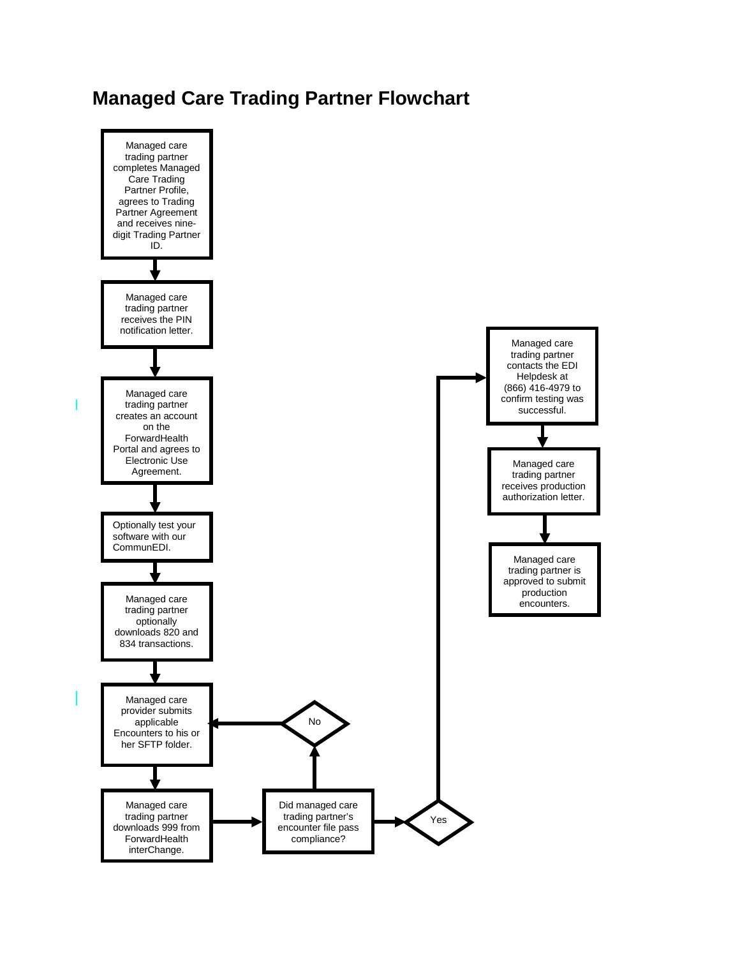## **Managed Care Trading Partner Flowchart**

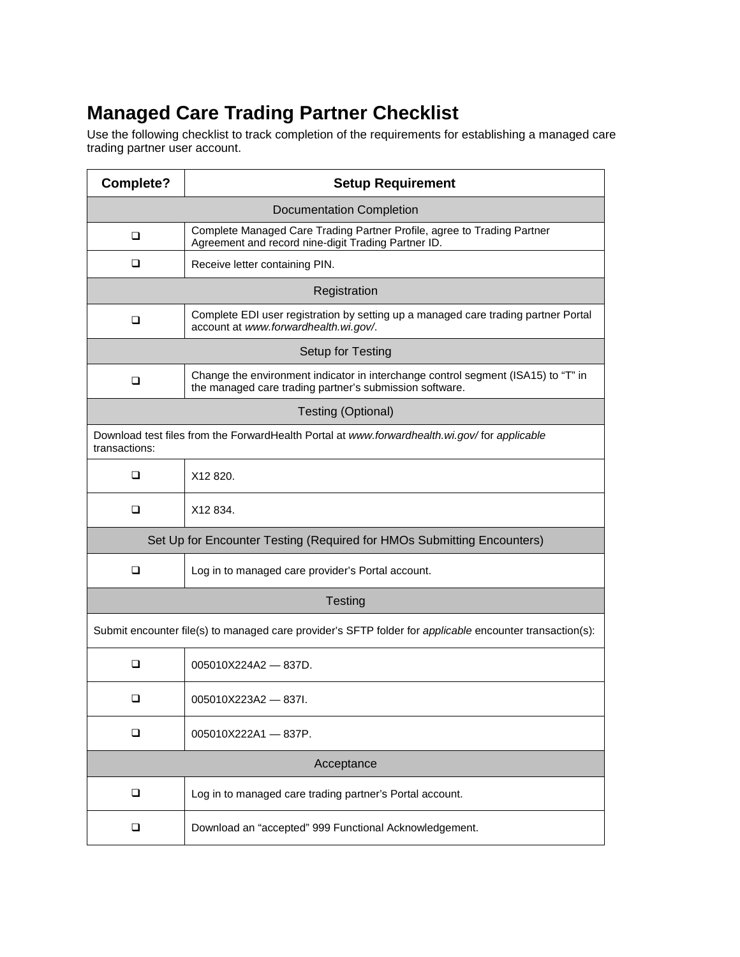# **Managed Care Trading Partner Checklist**

Use the following checklist to track completion of the requirements for establishing a managed care trading partner user account.

| Complete?                                                                                                     | <b>Setup Requirement</b>                                                                                                                     |
|---------------------------------------------------------------------------------------------------------------|----------------------------------------------------------------------------------------------------------------------------------------------|
| <b>Documentation Completion</b>                                                                               |                                                                                                                                              |
| <b>□</b>                                                                                                      | Complete Managed Care Trading Partner Profile, agree to Trading Partner<br>Agreement and record nine-digit Trading Partner ID.               |
| □                                                                                                             | Receive letter containing PIN.                                                                                                               |
| Registration                                                                                                  |                                                                                                                                              |
| <b>□</b>                                                                                                      | Complete EDI user registration by setting up a managed care trading partner Portal<br>account at www.forwardhealth.wi.gov/.                  |
| Setup for Testing                                                                                             |                                                                                                                                              |
| <b>□</b>                                                                                                      | Change the environment indicator in interchange control segment (ISA15) to "T" in<br>the managed care trading partner's submission software. |
| <b>Testing (Optional)</b>                                                                                     |                                                                                                                                              |
| Download test files from the ForwardHealth Portal at www.forwardhealth.wi.gov/for applicable<br>transactions: |                                                                                                                                              |
| □                                                                                                             | X12 820.                                                                                                                                     |
| ❏                                                                                                             | X12 834.                                                                                                                                     |
| Set Up for Encounter Testing (Required for HMOs Submitting Encounters)                                        |                                                                                                                                              |
| □                                                                                                             | Log in to managed care provider's Portal account.                                                                                            |
| <b>Testing</b>                                                                                                |                                                                                                                                              |
| Submit encounter file(s) to managed care provider's SFTP folder for applicable encounter transaction(s):      |                                                                                                                                              |
| □                                                                                                             | $005010X224A2 - 837D.$                                                                                                                       |
| □                                                                                                             | $005010X223A2 - 837I$                                                                                                                        |
| ❏                                                                                                             | $005010X222A1 - 837P.$                                                                                                                       |
| Acceptance                                                                                                    |                                                                                                                                              |
| ❏                                                                                                             | Log in to managed care trading partner's Portal account.                                                                                     |
| Q                                                                                                             | Download an "accepted" 999 Functional Acknowledgement.                                                                                       |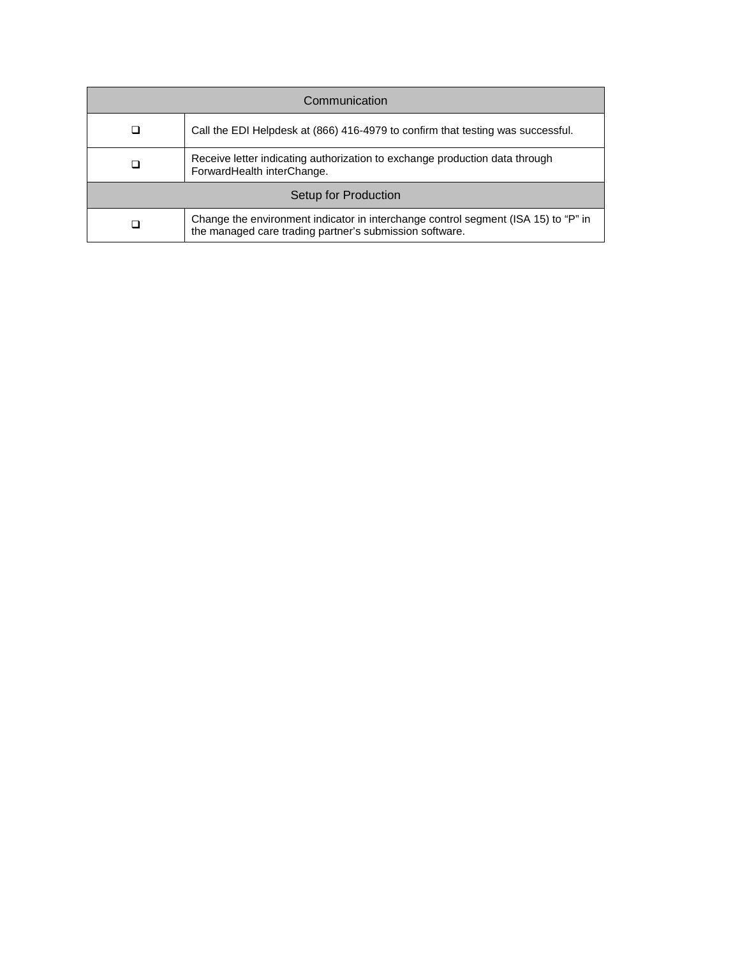| Communication        |                                                                                                                                               |  |
|----------------------|-----------------------------------------------------------------------------------------------------------------------------------------------|--|
|                      | Call the EDI Helpdesk at (866) 416-4979 to confirm that testing was successful.                                                               |  |
|                      | Receive letter indicating authorization to exchange production data through<br>ForwardHealth interChange.                                     |  |
| Setup for Production |                                                                                                                                               |  |
|                      | Change the environment indicator in interchange control segment (ISA 15) to "P" in<br>the managed care trading partner's submission software. |  |